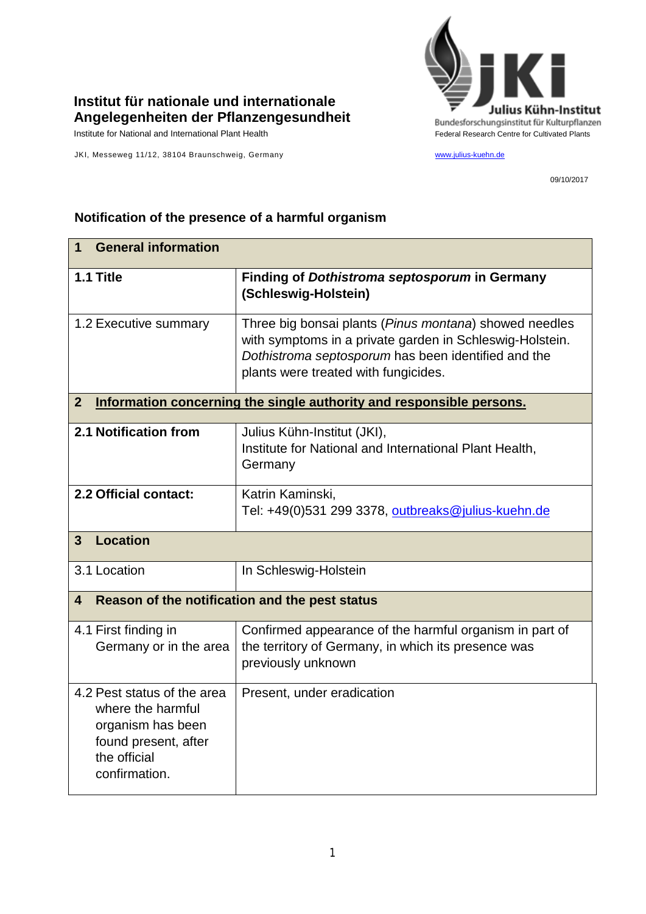

## **Institut für nationale und internationale Angelegenheiten der Pflanzengesundheit**

JKI, Messeweg 11/12, 38104 Braunschweig, Germany [www.julius-kuehn.de](http://www.julius-kuehn.de/)

09/10/2017

## **1 General information 1.1 Title Finding of** *Dothistroma septosporum* **in Germany (Schleswig-Holstein)** 1.2 Executive summary Three big bonsai plants (*Pinus montana*) showed needles with symptoms in a private garden in Schleswig-Holstein. *Dothistroma septosporum* has been identified and the plants were treated with fungicides. **2 Information concerning the single authority and responsible persons. 2.1 Notification from** Julius Kühn-Institut (JKI), Institute for National and International Plant Health, **Germany 2.2 Official contact:** Katrin Kaminski, Tel: +49(0)531 299 3378, [outbreaks@julius-kuehn.de](mailto:outbreaks@julius-kuehn.de) **3 Location**  3.1 Location **In Schleswig-Holstein 4 Reason of the notification and the pest status** 4.1 First finding in Germany or in the area Confirmed appearance of the harmful organism in part of the territory of Germany, in which its presence was previously unknown 4.2 Pest status of the area where the harmful organism has been found present, after the official confirmation. Present, under eradication

## **Notification of the presence of a harmful organism**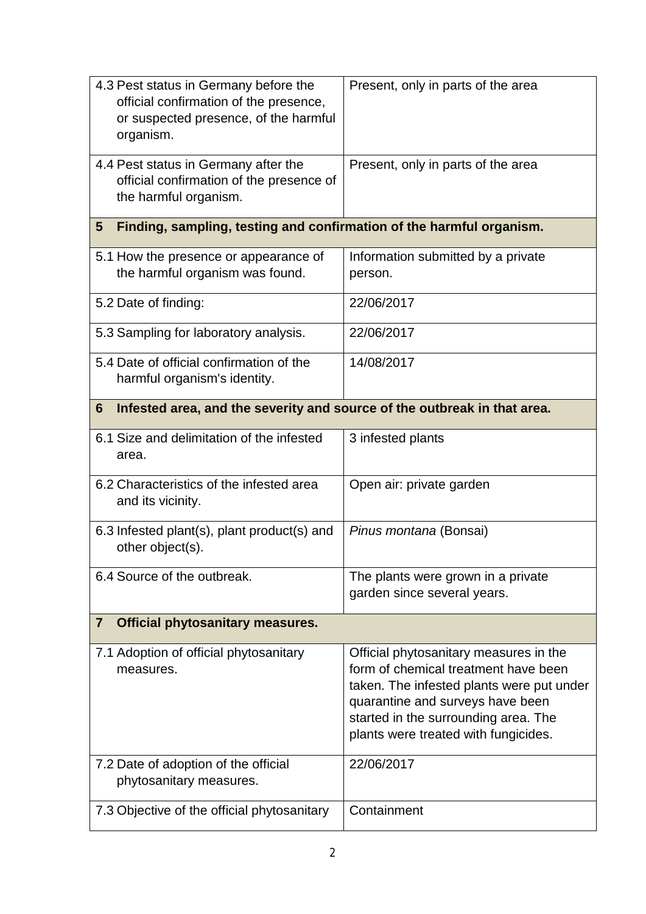| 4.3 Pest status in Germany before the<br>official confirmation of the presence,<br>or suspected presence, of the harmful<br>organism. | Present, only in parts of the area                                                                                                                                                                                                              |  |
|---------------------------------------------------------------------------------------------------------------------------------------|-------------------------------------------------------------------------------------------------------------------------------------------------------------------------------------------------------------------------------------------------|--|
| 4.4 Pest status in Germany after the<br>official confirmation of the presence of<br>the harmful organism.                             | Present, only in parts of the area                                                                                                                                                                                                              |  |
| Finding, sampling, testing and confirmation of the harmful organism.<br>$5\phantom{.0}$                                               |                                                                                                                                                                                                                                                 |  |
| 5.1 How the presence or appearance of<br>the harmful organism was found.                                                              | Information submitted by a private<br>person.                                                                                                                                                                                                   |  |
| 5.2 Date of finding:                                                                                                                  | 22/06/2017                                                                                                                                                                                                                                      |  |
| 5.3 Sampling for laboratory analysis.                                                                                                 | 22/06/2017                                                                                                                                                                                                                                      |  |
| 5.4 Date of official confirmation of the<br>harmful organism's identity.                                                              | 14/08/2017                                                                                                                                                                                                                                      |  |
| Infested area, and the severity and source of the outbreak in that area.<br>6                                                         |                                                                                                                                                                                                                                                 |  |
| 6.1 Size and delimitation of the infested<br>area.                                                                                    | 3 infested plants                                                                                                                                                                                                                               |  |
| 6.2 Characteristics of the infested area<br>and its vicinity.                                                                         | Open air: private garden                                                                                                                                                                                                                        |  |
| 6.3 Infested plant(s), plant product(s) and<br>other object(s).                                                                       | Pinus montana (Bonsai)                                                                                                                                                                                                                          |  |
| 6.4 Source of the outbreak.                                                                                                           | The plants were grown in a private<br>garden since several years.                                                                                                                                                                               |  |
| <b>Official phytosanitary measures.</b><br>$\mathbf{7}$                                                                               |                                                                                                                                                                                                                                                 |  |
| 7.1 Adoption of official phytosanitary<br>measures.                                                                                   | Official phytosanitary measures in the<br>form of chemical treatment have been<br>taken. The infested plants were put under<br>quarantine and surveys have been<br>started in the surrounding area. The<br>plants were treated with fungicides. |  |
| 7.2 Date of adoption of the official<br>phytosanitary measures.                                                                       | 22/06/2017                                                                                                                                                                                                                                      |  |
| 7.3 Objective of the official phytosanitary                                                                                           | Containment                                                                                                                                                                                                                                     |  |